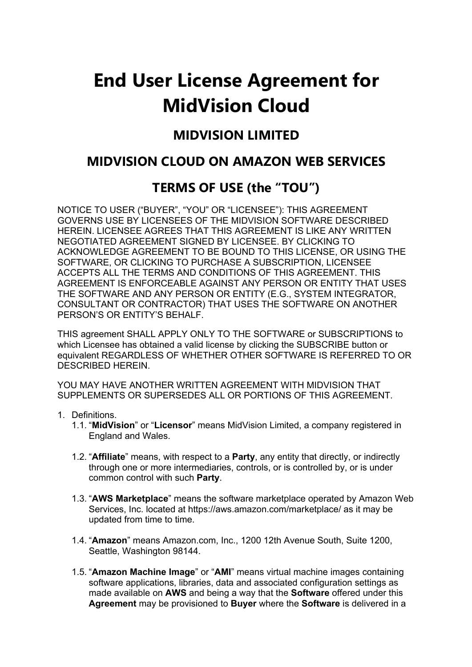# **End User License Agreement for MidVision Cloud**

# **MIDVISION LIMITED**

# **MIDVISION CLOUD ON AMAZON WEB SERVICES**

# **TERMS OF USE (the "TOU")**

NOTICE TO USER ("BUYER", "YOU" OR "LICENSEE"): THIS AGREEMENT GOVERNS USE BY LICENSEES OF THE MIDVISION SOFTWARE DESCRIBED HEREIN. LICENSEE AGREES THAT THIS AGREEMENT IS LIKE ANY WRITTEN NEGOTIATED AGREEMENT SIGNED BY LICENSEE. BY CLICKING TO ACKNOWLEDGE AGREEMENT TO BE BOUND TO THIS LICENSE, OR USING THE SOFTWARE, OR CLICKING TO PURCHASE A SUBSCRIPTION, LICENSEE ACCEPTS ALL THE TERMS AND CONDITIONS OF THIS AGREEMENT. THIS AGREEMENT IS ENFORCEABLE AGAINST ANY PERSON OR ENTITY THAT USES THE SOFTWARE AND ANY PERSON OR ENTITY (E.G., SYSTEM INTEGRATOR, CONSULTANT OR CONTRACTOR) THAT USES THE SOFTWARE ON ANOTHER PERSON'S OR ENTITY'S BEHALF.

THIS agreement SHALL APPLY ONLY TO THE SOFTWARE or SUBSCRIPTIONS to which Licensee has obtained a valid license by clicking the SUBSCRIBE button or equivalent REGARDLESS OF WHETHER OTHER SOFTWARE IS REFERRED TO OR DESCRIBED HEREIN.

YOU MAY HAVE ANOTHER WRITTEN AGREEMENT WITH MIDVISION THAT SUPPLEMENTS OR SUPERSEDES ALL OR PORTIONS OF THIS AGREEMENT.

- 1. Definitions.
	- 1.1. "**MidVision**" or "**Licensor**" means MidVision Limited, a company registered in England and Wales.
	- 1.2. "**Affiliate**" means, with respect to a **Party**, any entity that directly, or indirectly through one or more intermediaries, controls, or is controlled by, or is under common control with such **Party**.
	- 1.3. "**AWS Marketplace**" means the software marketplace operated by Amazon Web Services, Inc. located at https://aws.amazon.com/marketplace/ as it may be updated from time to time.
	- 1.4. "**Amazon**" means Amazon.com, Inc., 1200 12th Avenue South, Suite 1200, Seattle, Washington 98144.
	- 1.5. "**Amazon Machine Image**" or "**AMI**" means virtual machine images containing software applications, libraries, data and associated configuration settings as made available on **AWS** and being a way that the **Software** offered under this **Agreement** may be provisioned to **Buyer** where the **Software** is delivered in a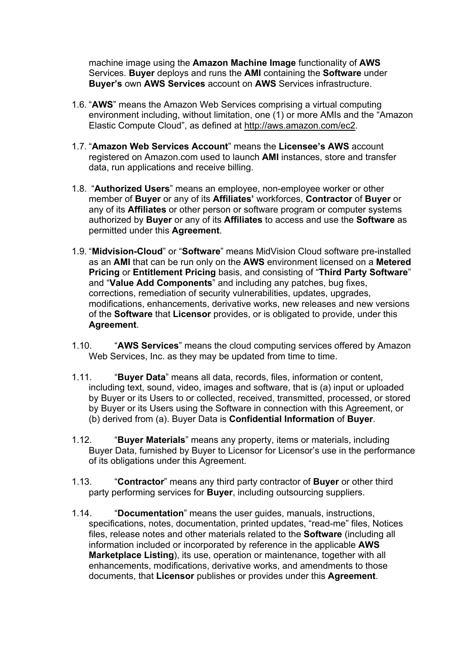machine image using the **Amazon Machine Image** functionality of **AWS** Services. **Buyer** deploys and runs the **AMI** containing the **Software** under **Buyer's** own **AWS Services** account on **AWS** Services infrastructure.

- 1.6. "**AWS**" means the Amazon Web Services comprising a virtual computing environment including, without limitation, one (1) or more AMIs and the "Amazon Elastic Compute Cloud", as defined at http://aws.amazon.com/ec2.
- 1.7. "**Amazon Web Services Account**" means the **Licensee's AWS** account registered on Amazon.com used to launch **AMI** instances, store and transfer data, run applications and receive billing.
- 1.8. "**Authorized Users**" means an employee, non-employee worker or other member of **Buyer** or any of its **Affiliates'** workforces, **Contractor** of **Buyer** or any of its **Affiliates** or other person or software program or computer systems authorized by **Buyer** or any of its **Affiliates** to access and use the **Software** as permitted under this **Agreement**.
- 1.9. "**Midvision-Cloud**" or "**Software**" means MidVision Cloud software pre-installed as an **AMI** that can be run only on the **AWS** environment licensed on a **Metered Pricing** or **Entitlement Pricing** basis, and consisting of "**Third Party Software**" and "**Value Add Components**" and including any patches, bug fixes, corrections, remediation of security vulnerabilities, updates, upgrades, modifications, enhancements, derivative works, new releases and new versions of the **Software** that **Licensor** provides, or is obligated to provide, under this **Agreement**.
- 1.10. "**AWS Services**" means the cloud computing services offered by Amazon Web Services, Inc. as they may be updated from time to time.
- 1.11. "**Buyer Data**" means all data, records, files, information or content, including text, sound, video, images and software, that is (a) input or uploaded by Buyer or its Users to or collected, received, transmitted, processed, or stored by Buyer or its Users using the Software in connection with this Agreement, or (b) derived from (a). Buyer Data is **Confidential Information** of **Buyer**.
- 1.12. "**Buyer Materials**" means any property, items or materials, including Buyer Data, furnished by Buyer to Licensor for Licensor's use in the performance of its obligations under this Agreement.
- 1.13. "**Contractor**" means any third party contractor of **Buyer** or other third party performing services for **Buyer**, including outsourcing suppliers.
- 1.14. "**Documentation**" means the user guides, manuals, instructions, specifications, notes, documentation, printed updates, "read-me" files, Notices files, release notes and other materials related to the **Software** (including all information included or incorporated by reference in the applicable **AWS Marketplace Listing**), its use, operation or maintenance, together with all enhancements, modifications, derivative works, and amendments to those documents, that **Licensor** publishes or provides under this **Agreement**.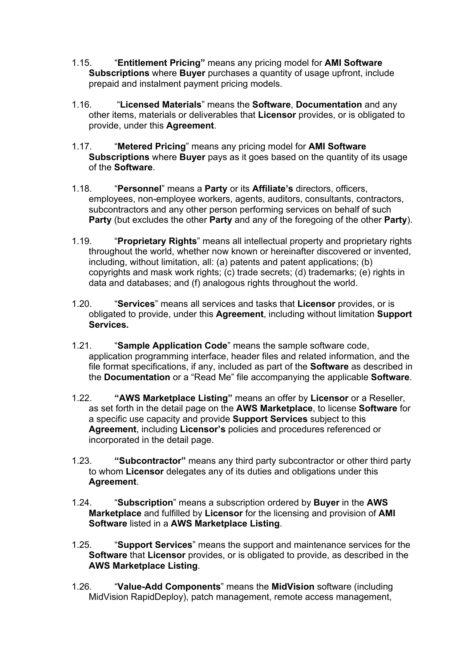- 1.15. "**Entitlement Pricing"** means any pricing model for **AMI Software Subscriptions** where **Buyer** purchases a quantity of usage upfront, include prepaid and instalment payment pricing models.
- 1.16. "**Licensed Materials**" means the **Software**, **Documentation** and any other items, materials or deliverables that **Licensor** provides, or is obligated to provide, under this **Agreement**.
- 1.17. "**Metered Pricing**" means any pricing model for **AMI Software Subscriptions** where **Buyer** pays as it goes based on the quantity of its usage of the **Software**.
- 1.18. "**Personnel**" means a **Party** or its **Affiliate's** directors, officers, employees, non-employee workers, agents, auditors, consultants, contractors, subcontractors and any other person performing services on behalf of such **Party** (but excludes the other **Party** and any of the foregoing of the other **Party**).
- 1.19. "**Proprietary Rights**" means all intellectual property and proprietary rights throughout the world, whether now known or hereinafter discovered or invented, including, without limitation, all: (a) patents and patent applications; (b) copyrights and mask work rights; (c) trade secrets; (d) trademarks; (e) rights in data and databases; and (f) analogous rights throughout the world.
- 1.20. "**Services**" means all services and tasks that **Licensor** provides, or is obligated to provide, under this **Agreement**, including without limitation **Support Services.**
- 1.21. "**Sample Application Code**" means the sample software code, application programming interface, header files and related information, and the file format specifications, if any, included as part of the **Software** as described in the **Documentation** or a "Read Me" file accompanying the applicable **Software**.
- 1.22. **"AWS Marketplace Listing"** means an offer by **Licensor** or a Reseller, as set forth in the detail page on the **AWS Marketplace**, to license **Software** for a specific use capacity and provide **Support Services** subject to this **Agreement**, including **Licensor's** policies and procedures referenced or incorporated in the detail page.
- 1.23. **"Subcontractor"** means any third party subcontractor or other third party to whom **Licensor** delegates any of its duties and obligations under this **Agreement**.
- 1.24. "**Subscription**" means a subscription ordered by **Buyer** in the **AWS Marketplace** and fulfilled by **Licensor** for the licensing and provision of **AMI Software** listed in a **AWS Marketplace Listing**.
- 1.25. "**Support Services**" means the support and maintenance services for the **Software** that **Licensor** provides, or is obligated to provide, as described in the **AWS Marketplace Listing**.
- 1.26. "**Value-Add Components**" means the **MidVision** software (including MidVision RapidDeploy), patch management, remote access management,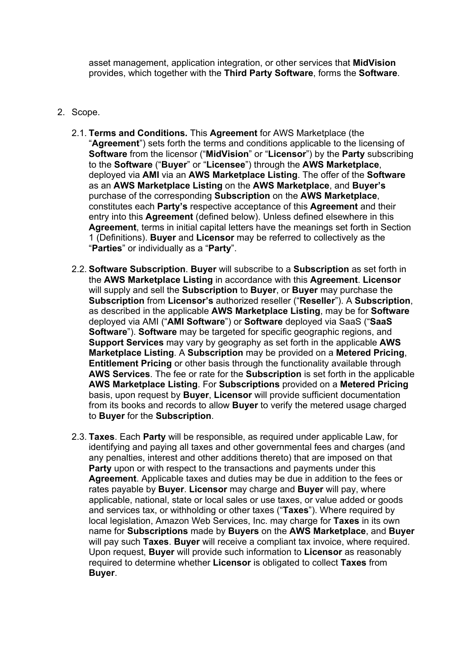asset management, application integration, or other services that **MidVision** provides, which together with the **Third Party Software**, forms the **Software**.

- 2. Scope.
	- 2.1. **Terms and Conditions.** This **Agreement** for AWS Marketplace (the "**Agreement**") sets forth the terms and conditions applicable to the licensing of **Software** from the licensor ("**MidVision**" or "**Licensor**") by the **Party** subscribing to the **Software** ("**Buyer**" or "**Licensee**") through the **AWS Marketplace**, deployed via **AMI** via an **AWS Marketplace Listing**. The offer of the **Software** as an **AWS Marketplace Listing** on the **AWS Marketplace**, and **Buyer's** purchase of the corresponding **Subscription** on the **AWS Marketplace**, constitutes each **Party's** respective acceptance of this **Agreement** and their entry into this **Agreement** (defined below). Unless defined elsewhere in this **Agreement**, terms in initial capital letters have the meanings set forth in Section 1 (Definitions). **Buyer** and **Licensor** may be referred to collectively as the "**Parties**" or individually as a "**Party**".
	- 2.2. **Software Subscription**. **Buyer** will subscribe to a **Subscription** as set forth in the **AWS Marketplace Listing** in accordance with this **Agreement**. **Licensor** will supply and sell the **Subscription** to **Buyer**, or **Buyer** may purchase the **Subscription** from **Licensor's** authorized reseller ("**Reseller**"). A **Subscription**, as described in the applicable **AWS Marketplace Listing**, may be for **Software** deployed via AMI ("**AMI Software**") or **Software** deployed via SaaS ("**SaaS Software**"). **Software** may be targeted for specific geographic regions, and **Support Services** may vary by geography as set forth in the applicable **AWS Marketplace Listing**. A **Subscription** may be provided on a **Metered Pricing**, **Entitlement Pricing** or other basis through the functionality available through **AWS Services**. The fee or rate for the **Subscription** is set forth in the applicable **AWS Marketplace Listing**. For **Subscriptions** provided on a **Metered Pricing** basis, upon request by **Buyer**, **Licensor** will provide sufficient documentation from its books and records to allow **Buyer** to verify the metered usage charged to **Buyer** for the **Subscription**.
	- 2.3. **Taxes**. Each **Party** will be responsible, as required under applicable Law, for identifying and paying all taxes and other governmental fees and charges (and any penalties, interest and other additions thereto) that are imposed on that **Party** upon or with respect to the transactions and payments under this **Agreement**. Applicable taxes and duties may be due in addition to the fees or rates payable by **Buyer**. **Licensor** may charge and **Buyer** will pay, where applicable, national, state or local sales or use taxes, or value added or goods and services tax, or withholding or other taxes ("**Taxes**"). Where required by local legislation, Amazon Web Services, Inc. may charge for **Taxes** in its own name for **Subscriptions** made by **Buyers** on the **AWS Marketplace**, and **Buyer** will pay such **Taxes**. **Buyer** will receive a compliant tax invoice, where required. Upon request, **Buyer** will provide such information to **Licensor** as reasonably required to determine whether **Licensor** is obligated to collect **Taxes** from **Buyer**.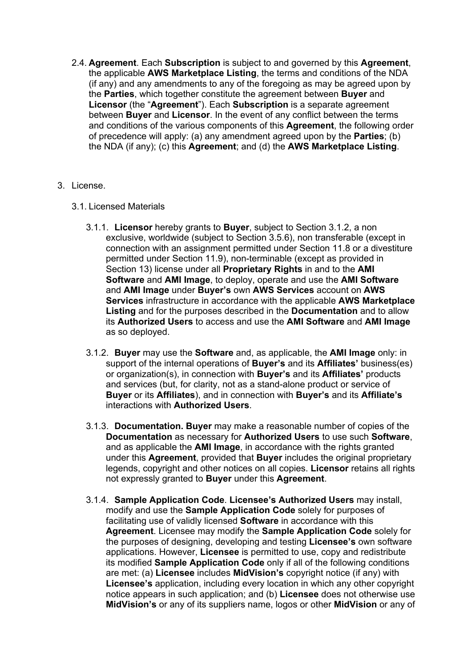2.4. **Agreement**. Each **Subscription** is subject to and governed by this **Agreement**, the applicable **AWS Marketplace Listing**, the terms and conditions of the NDA (if any) and any amendments to any of the foregoing as may be agreed upon by the **Parties**, which together constitute the agreement between **Buyer** and **Licensor** (the "**Agreement**"). Each **Subscription** is a separate agreement between **Buyer** and **Licensor**. In the event of any conflict between the terms and conditions of the various components of this **Agreement**, the following order of precedence will apply: (a) any amendment agreed upon by the **Parties**; (b) the NDA (if any); (c) this **Agreement**; and (d) the **AWS Marketplace Listing**.

### 3. License.

- 3.1. Licensed Materials
	- 3.1.1. **Licensor** hereby grants to **Buyer**, subject to Section 3.1.2, a non exclusive, worldwide (subject to Section 3.5.6), non transferable (except in connection with an assignment permitted under Section 11.8 or a divestiture permitted under Section 11.9), non-terminable (except as provided in Section 13) license under all **Proprietary Rights** in and to the **AMI Software** and **AMI Image**, to deploy, operate and use the **AMI Software** and **AMI Image** under **Buyer's** own **AWS Services** account on **AWS Services** infrastructure in accordance with the applicable **AWS Marketplace Listing** and for the purposes described in the **Documentation** and to allow its **Authorized Users** to access and use the **AMI Software** and **AMI Image** as so deployed.
	- 3.1.2. **Buyer** may use the **Software** and, as applicable, the **AMI Image** only: in support of the internal operations of **Buyer's** and its **Affiliates'** business(es) or organization(s), in connection with **Buyer's** and its **Affiliates'** products and services (but, for clarity, not as a stand-alone product or service of **Buyer** or its **Affiliates**), and in connection with **Buyer's** and its **Affiliate's** interactions with **Authorized Users**.
	- 3.1.3. **Documentation. Buyer** may make a reasonable number of copies of the **Documentation** as necessary for **Authorized Users** to use such **Software**, and as applicable the **AMI Image**, in accordance with the rights granted under this **Agreement**, provided that **Buyer** includes the original proprietary legends, copyright and other notices on all copies. **Licensor** retains all rights not expressly granted to **Buyer** under this **Agreement**.
	- 3.1.4. **Sample Application Code**. **Licensee's Authorized Users** may install, modify and use the **Sample Application Code** solely for purposes of facilitating use of validly licensed **Software** in accordance with this **Agreement**. Licensee may modify the **Sample Application Code** solely for the purposes of designing, developing and testing **Licensee's** own software applications. However, **Licensee** is permitted to use, copy and redistribute its modified **Sample Application Code** only if all of the following conditions are met: (a) **Licensee** includes **MidVision's** copyright notice (if any) with **Licensee's** application, including every location in which any other copyright notice appears in such application; and (b) **Licensee** does not otherwise use **MidVision's** or any of its suppliers name, logos or other **MidVision** or any of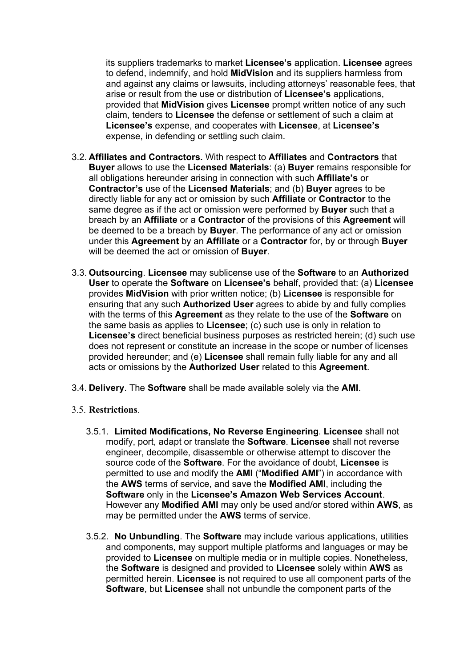its suppliers trademarks to market **Licensee's** application. **Licensee** agrees to defend, indemnify, and hold **MidVision** and its suppliers harmless from and against any claims or lawsuits, including attorneys' reasonable fees, that arise or result from the use or distribution of **Licensee's** applications, provided that **MidVision** gives **Licensee** prompt written notice of any such claim, tenders to **Licensee** the defense or settlement of such a claim at **Licensee's** expense, and cooperates with **Licensee**, at **Licensee's** expense, in defending or settling such claim.

- 3.2. **Affiliates and Contractors.** With respect to **Affiliates** and **Contractors** that **Buyer** allows to use the **Licensed Materials**: (a) **Buyer** remains responsible for all obligations hereunder arising in connection with such **Affiliate's** or **Contractor's** use of the **Licensed Materials**; and (b) **Buyer** agrees to be directly liable for any act or omission by such **Affiliate** or **Contractor** to the same degree as if the act or omission were performed by **Buyer** such that a breach by an **Affiliate** or a **Contractor** of the provisions of this **Agreement** will be deemed to be a breach by **Buyer**. The performance of any act or omission under this **Agreement** by an **Affiliate** or a **Contractor** for, by or through **Buyer** will be deemed the act or omission of **Buyer**.
- 3.3. **Outsourcing**. **Licensee** may sublicense use of the **Software** to an **Authorized User** to operate the **Software** on **Licensee's** behalf, provided that: (a) **Licensee** provides **MidVision** with prior written notice; (b) **Licensee** is responsible for ensuring that any such **Authorized User** agrees to abide by and fully complies with the terms of this **Agreement** as they relate to the use of the **Software** on the same basis as applies to **Licensee**; (c) such use is only in relation to **Licensee's** direct beneficial business purposes as restricted herein; (d) such use does not represent or constitute an increase in the scope or number of licenses provided hereunder; and (e) **Licensee** shall remain fully liable for any and all acts or omissions by the **Authorized User** related to this **Agreement**.
- 3.4. **Delivery**. The **Software** shall be made available solely via the **AMI**.
- 3.5. **Restrictions**.
	- 3.5.1. **Limited Modifications, No Reverse Engineering**. **Licensee** shall not modify, port, adapt or translate the **Software**. **Licensee** shall not reverse engineer, decompile, disassemble or otherwise attempt to discover the source code of the **Software**. For the avoidance of doubt, **Licensee** is permitted to use and modify the **AMI** ("**Modified AMI**") in accordance with the **AWS** terms of service, and save the **Modified AMI**, including the **Software** only in the **Licensee's Amazon Web Services Account**. However any **Modified AMI** may only be used and/or stored within **AWS**, as may be permitted under the **AWS** terms of service.
	- 3.5.2. **No Unbundling**. The **Software** may include various applications, utilities and components, may support multiple platforms and languages or may be provided to **Licensee** on multiple media or in multiple copies. Nonetheless, the **Software** is designed and provided to **Licensee** solely within **AWS** as permitted herein. **Licensee** is not required to use all component parts of the **Software**, but **Licensee** shall not unbundle the component parts of the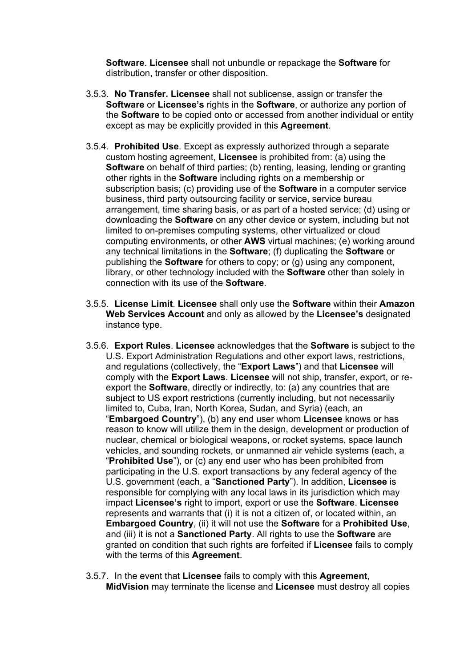**Software**. **Licensee** shall not unbundle or repackage the **Software** for distribution, transfer or other disposition.

- 3.5.3. **No Transfer. Licensee** shall not sublicense, assign or transfer the **Software** or **Licensee's** rights in the **Software**, or authorize any portion of the **Software** to be copied onto or accessed from another individual or entity except as may be explicitly provided in this **Agreement**.
- 3.5.4. **Prohibited Use**. Except as expressly authorized through a separate custom hosting agreement, **Licensee** is prohibited from: (a) using the **Software** on behalf of third parties; (b) renting, leasing, lending or granting other rights in the **Software** including rights on a membership or subscription basis; (c) providing use of the **Software** in a computer service business, third party outsourcing facility or service, service bureau arrangement, time sharing basis, or as part of a hosted service; (d) using or downloading the **Software** on any other device or system, including but not limited to on-premises computing systems, other virtualized or cloud computing environments, or other **AWS** virtual machines; (e) working around any technical limitations in the **Software**; (f) duplicating the **Software** or publishing the **Software** for others to copy; or (g) using any component, library, or other technology included with the **Software** other than solely in connection with its use of the **Software**.
- 3.5.5. **License Limit**. **Licensee** shall only use the **Software** within their **Amazon Web Services Account** and only as allowed by the **Licensee's** designated instance type.
- 3.5.6. **Export Rules**. **Licensee** acknowledges that the **Software** is subject to the U.S. Export Administration Regulations and other export laws, restrictions, and regulations (collectively, the "**Export Laws**") and that **Licensee** will comply with the **Export Laws**. **Licensee** will not ship, transfer, export, or reexport the **Software**, directly or indirectly, to: (a) any countries that are subject to US export restrictions (currently including, but not necessarily limited to, Cuba, Iran, North Korea, Sudan, and Syria) (each, an "**Embargoed Country**"), (b) any end user whom **Licensee** knows or has reason to know will utilize them in the design, development or production of nuclear, chemical or biological weapons, or rocket systems, space launch vehicles, and sounding rockets, or unmanned air vehicle systems (each, a "**Prohibited Use**"), or (c) any end user who has been prohibited from participating in the U.S. export transactions by any federal agency of the U.S. government (each, a "**Sanctioned Party**"). In addition, **Licensee** is responsible for complying with any local laws in its jurisdiction which may impact **Licensee's** right to import, export or use the **Software**. **Licensee** represents and warrants that (i) it is not a citizen of, or located within, an **Embargoed Country**, (ii) it will not use the **Software** for a **Prohibited Use**, and (iii) it is not a **Sanctioned Party**. All rights to use the **Software** are granted on condition that such rights are forfeited if **Licensee** fails to comply with the terms of this **Agreement**.
- 3.5.7. In the event that **Licensee** fails to comply with this **Agreement**, **MidVision** may terminate the license and **Licensee** must destroy all copies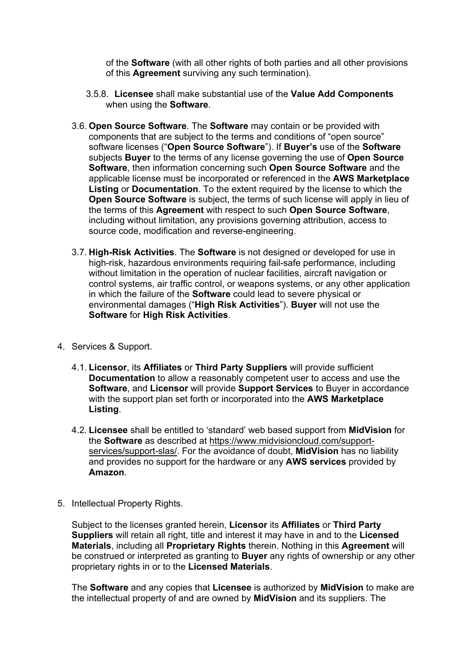of the **Software** (with all other rights of both parties and all other provisions of this **Agreement** surviving any such termination).

- 3.5.8. **Licensee** shall make substantial use of the **Value Add Components** when using the **Software**.
- 3.6. **Open Source Software**. The **Software** may contain or be provided with components that are subject to the terms and conditions of "open source" software licenses ("**Open Source Software**"). If **Buyer's** use of the **Software** subjects **Buyer** to the terms of any license governing the use of **Open Source Software**, then information concerning such **Open Source Software** and the applicable license must be incorporated or referenced in the **AWS Marketplace Listing** or **Documentation**. To the extent required by the license to which the **Open Source Software** is subject, the terms of such license will apply in lieu of the terms of this **Agreement** with respect to such **Open Source Software**, including without limitation, any provisions governing attribution, access to source code, modification and reverse-engineering.
- 3.7. **High-Risk Activities**. The **Software** is not designed or developed for use in high-risk, hazardous environments requiring fail-safe performance, including without limitation in the operation of nuclear facilities, aircraft navigation or control systems, air traffic control, or weapons systems, or any other application in which the failure of the **Software** could lead to severe physical or environmental damages ("**High Risk Activities**"). **Buyer** will not use the **Software** for **High Risk Activities**.
- 4. Services & Support.
	- 4.1. **Licensor**, its **Affiliates** or **Third Party Suppliers** will provide sufficient **Documentation** to allow a reasonably competent user to access and use the **Software**, and **Licensor** will provide **Support Services** to Buyer in accordance with the support plan set forth or incorporated into the **AWS Marketplace Listing**.
	- 4.2. **Licensee** shall be entitled to 'standard' web based support from **MidVision** for the **Software** as described at https://www.midvisioncloud.com/supportservices/support-slas/. For the avoidance of doubt, **MidVision** has no liability and provides no support for the hardware or any **AWS services** provided by **Amazon**.
- 5. Intellectual Property Rights.

Subject to the licenses granted herein, **Licensor** its **Affiliates** or **Third Party Suppliers** will retain all right, title and interest it may have in and to the **Licensed Materials**, including all **Proprietary Rights** therein. Nothing in this **Agreement** will be construed or interpreted as granting to **Buyer** any rights of ownership or any other proprietary rights in or to the **Licensed Materials**.

The **Software** and any copies that **Licensee** is authorized by **MidVision** to make are the intellectual property of and are owned by **MidVision** and its suppliers. The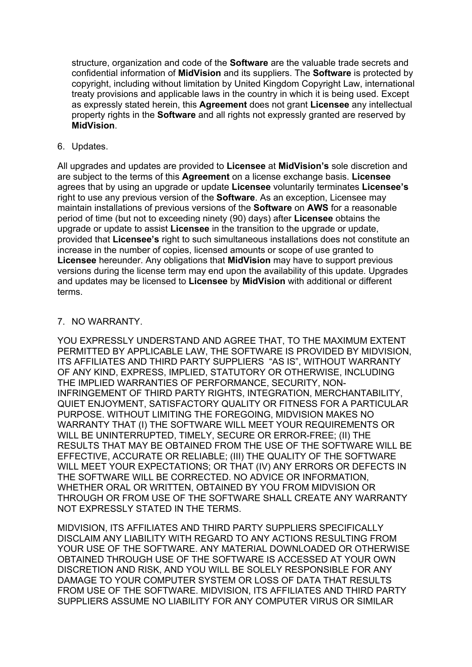structure, organization and code of the **Software** are the valuable trade secrets and confidential information of **MidVision** and its suppliers. The **Software** is protected by copyright, including without limitation by United Kingdom Copyright Law, international treaty provisions and applicable laws in the country in which it is being used. Except as expressly stated herein, this **Agreement** does not grant **Licensee** any intellectual property rights in the **Software** and all rights not expressly granted are reserved by **MidVision**.

6. Updates.

All upgrades and updates are provided to **Licensee** at **MidVision's** sole discretion and are subject to the terms of this **Agreement** on a license exchange basis. **Licensee** agrees that by using an upgrade or update **Licensee** voluntarily terminates **Licensee's** right to use any previous version of the **Software**. As an exception, Licensee may maintain installations of previous versions of the **Software** on **AWS** for a reasonable period of time (but not to exceeding ninety (90) days) after **Licensee** obtains the upgrade or update to assist **Licensee** in the transition to the upgrade or update, provided that **Licensee's** right to such simultaneous installations does not constitute an increase in the number of copies, licensed amounts or scope of use granted to **Licensee** hereunder. Any obligations that **MidVision** may have to support previous versions during the license term may end upon the availability of this update. Upgrades and updates may be licensed to **Licensee** by **MidVision** with additional or different terms.

### 7. NO WARRANTY.

YOU EXPRESSLY UNDERSTAND AND AGREE THAT, TO THE MAXIMUM EXTENT PERMITTED BY APPLICABLE LAW, THE SOFTWARE IS PROVIDED BY MIDVISION, ITS AFFILIATES AND THIRD PARTY SUPPLIERS "AS IS", WITHOUT WARRANTY OF ANY KIND, EXPRESS, IMPLIED, STATUTORY OR OTHERWISE, INCLUDING THE IMPLIED WARRANTIES OF PERFORMANCE, SECURITY, NON-INFRINGEMENT OF THIRD PARTY RIGHTS, INTEGRATION, MERCHANTABILITY, QUIET ENJOYMENT, SATISFACTORY QUALITY OR FITNESS FOR A PARTICULAR PURPOSE. WITHOUT LIMITING THE FOREGOING, MIDVISION MAKES NO WARRANTY THAT (I) THE SOFTWARE WILL MEET YOUR REQUIREMENTS OR WILL BE UNINTERRUPTED, TIMELY, SECURE OR ERROR-FREE; (II) THE RESULTS THAT MAY BE OBTAINED FROM THE USE OF THE SOFTWARE WILL BE EFFECTIVE, ACCURATE OR RELIABLE; (III) THE QUALITY OF THE SOFTWARE WILL MEET YOUR EXPECTATIONS; OR THAT (IV) ANY ERRORS OR DEFECTS IN THE SOFTWARE WILL BE CORRECTED. NO ADVICE OR INFORMATION, WHETHER ORAL OR WRITTEN, OBTAINED BY YOU FROM MIDVISION OR THROUGH OR FROM USE OF THE SOFTWARE SHALL CREATE ANY WARRANTY NOT EXPRESSLY STATED IN THE TERMS.

MIDVISION, ITS AFFILIATES AND THIRD PARTY SUPPLIERS SPECIFICALLY DISCLAIM ANY LIABILITY WITH REGARD TO ANY ACTIONS RESULTING FROM YOUR USE OF THE SOFTWARE. ANY MATERIAL DOWNLOADED OR OTHERWISE OBTAINED THROUGH USE OF THE SOFTWARE IS ACCESSED AT YOUR OWN DISCRETION AND RISK, AND YOU WILL BE SOLELY RESPONSIBLE FOR ANY DAMAGE TO YOUR COMPUTER SYSTEM OR LOSS OF DATA THAT RESULTS FROM USE OF THE SOFTWARE. MIDVISION, ITS AFFILIATES AND THIRD PARTY SUPPLIERS ASSUME NO LIABILITY FOR ANY COMPUTER VIRUS OR SIMILAR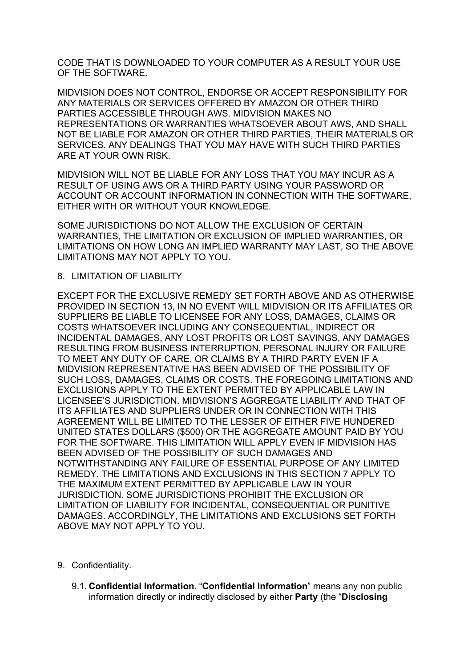CODE THAT IS DOWNLOADED TO YOUR COMPUTER AS A RESULT YOUR USE OF THE SOFTWARE.

MIDVISION DOES NOT CONTROL, ENDORSE OR ACCEPT RESPONSIBILITY FOR ANY MATERIALS OR SERVICES OFFERED BY AMAZON OR OTHER THIRD PARTIES ACCESSIBLE THROUGH AWS. MIDVISION MAKES NO REPRESENTATIONS OR WARRANTIES WHATSOEVER ABOUT AWS, AND SHALL NOT BE LIABLE FOR AMAZON OR OTHER THIRD PARTIES, THEIR MATERIALS OR SERVICES. ANY DEALINGS THAT YOU MAY HAVE WITH SUCH THIRD PARTIES ARE AT YOUR OWN RISK.

MIDVISION WILL NOT BE LIABLE FOR ANY LOSS THAT YOU MAY INCUR AS A RESULT OF USING AWS OR A THIRD PARTY USING YOUR PASSWORD OR ACCOUNT OR ACCOUNT INFORMATION IN CONNECTION WITH THE SOFTWARE, EITHER WITH OR WITHOUT YOUR KNOWLEDGE.

SOME JURISDICTIONS DO NOT ALLOW THE EXCLUSION OF CERTAIN WARRANTIES, THE LIMITATION OR EXCLUSION OF IMPLIED WARRANTIES, OR LIMITATIONS ON HOW LONG AN IMPLIED WARRANTY MAY LAST, SO THE ABOVE LIMITATIONS MAY NOT APPLY TO YOU.

#### 8. LIMITATION OF LIABILITY

EXCEPT FOR THE EXCLUSIVE REMEDY SET FORTH ABOVE AND AS OTHERWISE PROVIDED IN SECTION 13, IN NO EVENT WILL MIDVISION OR ITS AFFILIATES OR SUPPLIERS BE LIABLE TO LICENSEE FOR ANY LOSS, DAMAGES, CLAIMS OR COSTS WHATSOEVER INCLUDING ANY CONSEQUENTIAL, INDIRECT OR INCIDENTAL DAMAGES, ANY LOST PROFITS OR LOST SAVINGS, ANY DAMAGES RESULTING FROM BUSINESS INTERRUPTION, PERSONAL INJURY OR FAILURE TO MEET ANY DUTY OF CARE, OR CLAIMS BY A THIRD PARTY EVEN IF A MIDVISION REPRESENTATIVE HAS BEEN ADVISED OF THE POSSIBILITY OF SUCH LOSS, DAMAGES, CLAIMS OR COSTS. THE FOREGOING LIMITATIONS AND EXCLUSIONS APPLY TO THE EXTENT PERMITTED BY APPLICABLE LAW IN LICENSEE'S JURISDICTION. MIDVISION'S AGGREGATE LIABILITY AND THAT OF ITS AFFILIATES AND SUPPLIERS UNDER OR IN CONNECTION WITH THIS AGREEMENT WILL BE LIMITED TO THE LESSER OF EITHER FIVE HUNDERED UNITED STATES DOLLARS (\$500) OR THE AGGREGATE AMOUNT PAID BY YOU FOR THE SOFTWARE. THIS LIMITATION WILL APPLY EVEN IF MIDVISION HAS BEEN ADVISED OF THE POSSIBILITY OF SUCH DAMAGES AND NOTWITHSTANDING ANY FAILURE OF ESSENTIAL PURPOSE OF ANY LIMITED REMEDY. THE LIMITATIONS AND EXCLUSIONS IN THIS SECTION 7 APPLY TO THE MAXIMUM EXTENT PERMITTED BY APPLICABLE LAW IN YOUR JURISDICTION. SOME JURISDICTIONS PROHIBIT THE EXCLUSION OR LIMITATION OF LIABILITY FOR INCIDENTAL, CONSEQUENTIAL OR PUNITIVE DAMAGES. ACCORDINGLY, THE LIMITATIONS AND EXCLUSIONS SET FORTH ABOVE MAY NOT APPLY TO YOU.

- 9. Confidentiality.
	- 9.1. **Confidential Information**. "**Confidential Information**" means any non public information directly or indirectly disclosed by either **Party** (the "**Disclosing**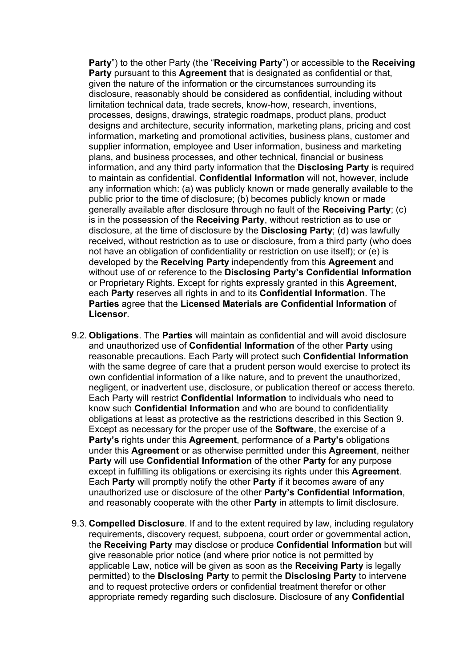**Party**") to the other Party (the "**Receiving Party**") or accessible to the **Receiving Party** pursuant to this **Agreement** that is designated as confidential or that, given the nature of the information or the circumstances surrounding its disclosure, reasonably should be considered as confidential, including without limitation technical data, trade secrets, know-how, research, inventions, processes, designs, drawings, strategic roadmaps, product plans, product designs and architecture, security information, marketing plans, pricing and cost information, marketing and promotional activities, business plans, customer and supplier information, employee and User information, business and marketing plans, and business processes, and other technical, financial or business information, and any third party information that the **Disclosing Party** is required to maintain as confidential. **Confidential Information** will not, however, include any information which: (a) was publicly known or made generally available to the public prior to the time of disclosure; (b) becomes publicly known or made generally available after disclosure through no fault of the **Receiving Party**; (c) is in the possession of the **Receiving Party**, without restriction as to use or disclosure, at the time of disclosure by the **Disclosing Party**; (d) was lawfully received, without restriction as to use or disclosure, from a third party (who does not have an obligation of confidentiality or restriction on use itself); or (e) is developed by the **Receiving Party** independently from this **Agreement** and without use of or reference to the **Disclosing Party's Confidential Information** or Proprietary Rights. Except for rights expressly granted in this **Agreement**, each **Party** reserves all rights in and to its **Confidential Information**. The **Parties** agree that the **Licensed Materials are Confidential Information** of **Licensor**.

- 9.2. **Obligations**. The **Parties** will maintain as confidential and will avoid disclosure and unauthorized use of **Confidential Information** of the other **Party** using reasonable precautions. Each Party will protect such **Confidential Information** with the same degree of care that a prudent person would exercise to protect its own confidential information of a like nature, and to prevent the unauthorized, negligent, or inadvertent use, disclosure, or publication thereof or access thereto. Each Party will restrict **Confidential Information** to individuals who need to know such **Confidential Information** and who are bound to confidentiality obligations at least as protective as the restrictions described in this Section 9. Except as necessary for the proper use of the **Software**, the exercise of a **Party's** rights under this **Agreement**, performance of a **Party's** obligations under this **Agreement** or as otherwise permitted under this **Agreement**, neither **Party** will use **Confidential Information** of the other **Party** for any purpose except in fulfilling its obligations or exercising its rights under this **Agreement**. Each **Party** will promptly notify the other **Party** if it becomes aware of any unauthorized use or disclosure of the other **Party's Confidential Information**, and reasonably cooperate with the other **Party** in attempts to limit disclosure.
- 9.3. **Compelled Disclosure**. If and to the extent required by law, including regulatory requirements, discovery request, subpoena, court order or governmental action, the **Receiving Party** may disclose or produce **Confidential Information** but will give reasonable prior notice (and where prior notice is not permitted by applicable Law, notice will be given as soon as the **Receiving Party** is legally permitted) to the **Disclosing Party** to permit the **Disclosing Party** to intervene and to request protective orders or confidential treatment therefor or other appropriate remedy regarding such disclosure. Disclosure of any **Confidential**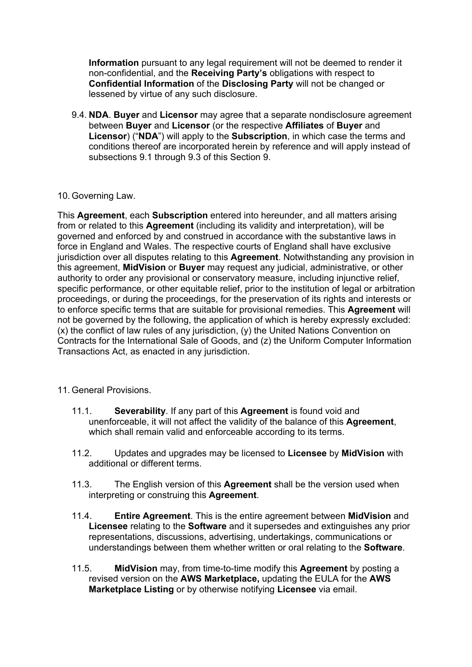**Information** pursuant to any legal requirement will not be deemed to render it non-confidential, and the **Receiving Party's** obligations with respect to **Confidential Information** of the **Disclosing Party** will not be changed or lessened by virtue of any such disclosure.

9.4. **NDA**. **Buyer** and **Licensor** may agree that a separate nondisclosure agreement between **Buyer** and **Licensor** (or the respective **Affiliates** of **Buyer** and **Licensor**) ("**NDA**") will apply to the **Subscription**, in which case the terms and conditions thereof are incorporated herein by reference and will apply instead of subsections 9.1 through 9.3 of this Section 9.

### 10. Governing Law.

This **Agreement**, each **Subscription** entered into hereunder, and all matters arising from or related to this **Agreement** (including its validity and interpretation), will be governed and enforced by and construed in accordance with the substantive laws in force in England and Wales. The respective courts of England shall have exclusive jurisdiction over all disputes relating to this **Agreement**. Notwithstanding any provision in this agreement, **MidVision** or **Buyer** may request any judicial, administrative, or other authority to order any provisional or conservatory measure, including injunctive relief, specific performance, or other equitable relief, prior to the institution of legal or arbitration proceedings, or during the proceedings, for the preservation of its rights and interests or to enforce specific terms that are suitable for provisional remedies. This **Agreement** will not be governed by the following, the application of which is hereby expressly excluded: (x) the conflict of law rules of any jurisdiction, (y) the United Nations Convention on Contracts for the International Sale of Goods, and (z) the Uniform Computer Information Transactions Act, as enacted in any jurisdiction.

## 11. General Provisions.

- 11.1. **Severability**. If any part of this **Agreement** is found void and unenforceable, it will not affect the validity of the balance of this **Agreement**, which shall remain valid and enforceable according to its terms.
- 11.2. Updates and upgrades may be licensed to **Licensee** by **MidVision** with additional or different terms.
- 11.3. The English version of this **Agreement** shall be the version used when interpreting or construing this **Agreement**.
- 11.4. **Entire Agreement**. This is the entire agreement between **MidVision** and **Licensee** relating to the **Software** and it supersedes and extinguishes any prior representations, discussions, advertising, undertakings, communications or understandings between them whether written or oral relating to the **Software**.
- 11.5. **MidVision** may, from time-to-time modify this **Agreement** by posting a revised version on the **AWS Marketplace,** updating the EULA for the **AWS Marketplace Listing** or by otherwise notifying **Licensee** via email.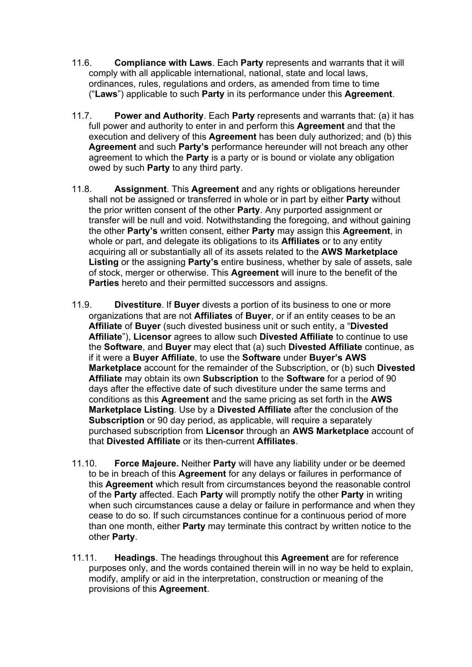- 11.6. **Compliance with Laws**. Each **Party** represents and warrants that it will comply with all applicable international, national, state and local laws, ordinances, rules, regulations and orders, as amended from time to time ("**Laws**") applicable to such **Party** in its performance under this **Agreement**.
- 11.7. **Power and Authority**. Each **Party** represents and warrants that: (a) it has full power and authority to enter in and perform this **Agreement** and that the execution and delivery of this **Agreement** has been duly authorized; and (b) this **Agreement** and such **Party's** performance hereunder will not breach any other agreement to which the **Party** is a party or is bound or violate any obligation owed by such **Party** to any third party.
- 11.8. **Assignment**. This **Agreement** and any rights or obligations hereunder shall not be assigned or transferred in whole or in part by either **Party** without the prior written consent of the other **Party**. Any purported assignment or transfer will be null and void. Notwithstanding the foregoing, and without gaining the other **Party's** written consent, either **Party** may assign this **Agreement**, in whole or part, and delegate its obligations to its **Affiliates** or to any entity acquiring all or substantially all of its assets related to the **AWS Marketplace Listing** or the assigning **Party's** entire business, whether by sale of assets, sale of stock, merger or otherwise. This **Agreement** will inure to the benefit of the **Parties** hereto and their permitted successors and assigns.
- 11.9. **Divestiture**. If **Buyer** divests a portion of its business to one or more organizations that are not **Affiliates** of **Buyer**, or if an entity ceases to be an **Affiliate** of **Buyer** (such divested business unit or such entity, a "**Divested Affiliate**"), **Licensor** agrees to allow such **Divested Affiliate** to continue to use the **Software**, and **Buyer** may elect that (a) such **Divested Affiliate** continue, as if it were a **Buyer Affiliate**, to use the **Software** under **Buyer's AWS Marketplace** account for the remainder of the Subscription, or (b) such **Divested Affiliate** may obtain its own **Subscription** to the **Software** for a period of 90 days after the effective date of such divestiture under the same terms and conditions as this **Agreement** and the same pricing as set forth in the **AWS Marketplace Listing**. Use by a **Divested Affiliate** after the conclusion of the **Subscription** or 90 day period, as applicable, will require a separately purchased subscription from **Licensor** through an **AWS Marketplace** account of that **Divested Affiliate** or its then-current **Affiliates**.
- 11.10. **Force Majeure.** Neither **Party** will have any liability under or be deemed to be in breach of this **Agreement** for any delays or failures in performance of this **Agreement** which result from circumstances beyond the reasonable control of the **Party** affected. Each **Party** will promptly notify the other **Party** in writing when such circumstances cause a delay or failure in performance and when they cease to do so. If such circumstances continue for a continuous period of more than one month, either **Party** may terminate this contract by written notice to the other **Party**.
- 11.11. **Headings**. The headings throughout this **Agreement** are for reference purposes only, and the words contained therein will in no way be held to explain, modify, amplify or aid in the interpretation, construction or meaning of the provisions of this **Agreement**.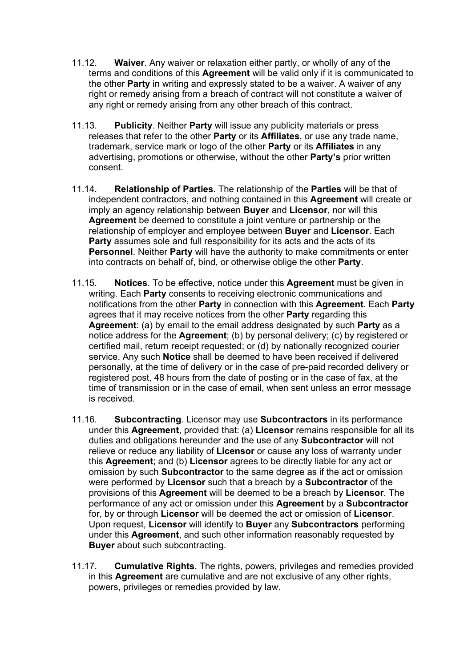- 11.12. **Waiver**. Any waiver or relaxation either partly, or wholly of any of the terms and conditions of this **Agreement** will be valid only if it is communicated to the other **Party** in writing and expressly stated to be a waiver. A waiver of any right or remedy arising from a breach of contract will not constitute a waiver of any right or remedy arising from any other breach of this contract.
- 11.13. **Publicity**. Neither **Party** will issue any publicity materials or press releases that refer to the other **Party** or its **Affiliates**, or use any trade name, trademark, service mark or logo of the other **Party** or its **Affiliates** in any advertising, promotions or otherwise, without the other **Party's** prior written consent.
- 11.14. **Relationship of Parties**. The relationship of the **Parties** will be that of independent contractors, and nothing contained in this **Agreement** will create or imply an agency relationship between **Buyer** and **Licensor**, nor will this **Agreement** be deemed to constitute a joint venture or partnership or the relationship of employer and employee between **Buyer** and **Licensor**. Each **Party** assumes sole and full responsibility for its acts and the acts of its **Personnel**. Neither **Party** will have the authority to make commitments or enter into contracts on behalf of, bind, or otherwise oblige the other **Party**.
- 11.15. **Notices**. To be effective, notice under this **Agreement** must be given in writing. Each **Party** consents to receiving electronic communications and notifications from the other **Party** in connection with this **Agreement**. Each **Party** agrees that it may receive notices from the other **Party** regarding this **Agreement**: (a) by email to the email address designated by such **Party** as a notice address for the **Agreement**; (b) by personal delivery; (c) by registered or certified mail, return receipt requested; or (d) by nationally recognized courier service. Any such **Notice** shall be deemed to have been received if delivered personally, at the time of delivery or in the case of pre-paid recorded delivery or registered post, 48 hours from the date of posting or in the case of fax, at the time of transmission or in the case of email, when sent unless an error message is received.
- 11.16. **Subcontracting**. Licensor may use **Subcontractors** in its performance under this **Agreement**, provided that: (a) **Licensor** remains responsible for all its duties and obligations hereunder and the use of any **Subcontractor** will not relieve or reduce any liability of **Licensor** or cause any loss of warranty under this **Agreement**; and (b) **Licensor** agrees to be directly liable for any act or omission by such **Subcontractor** to the same degree as if the act or omission were performed by **Licensor** such that a breach by a **Subcontractor** of the provisions of this **Agreement** will be deemed to be a breach by **Licensor**. The performance of any act or omission under this **Agreement** by a **Subcontractor** for, by or through **Licensor** will be deemed the act or omission of **Licensor**. Upon request, **Licensor** will identify to **Buyer** any **Subcontractors** performing under this **Agreement**, and such other information reasonably requested by **Buyer** about such subcontracting.
- 11.17. **Cumulative Rights**. The rights, powers, privileges and remedies provided in this **Agreement** are cumulative and are not exclusive of any other rights, powers, privileges or remedies provided by law.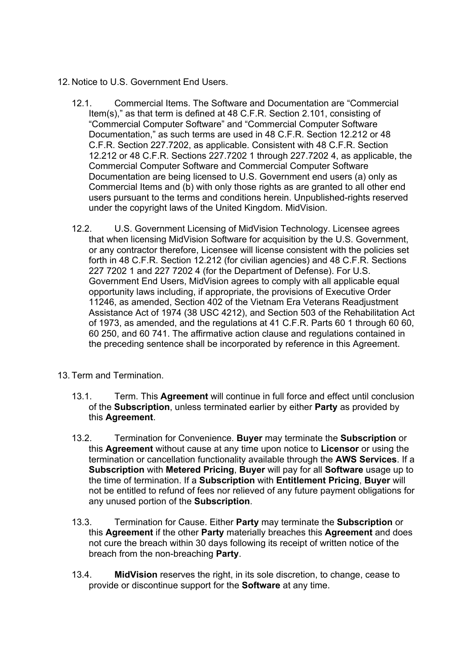- 12. Notice to U.S. Government End Users.
	- 12.1. Commercial Items. The Software and Documentation are "Commercial Item(s)," as that term is defined at 48 C.F.R. Section 2.101, consisting of "Commercial Computer Software" and "Commercial Computer Software Documentation," as such terms are used in 48 C.F.R. Section 12.212 or 48 C.F.R. Section 227.7202, as applicable. Consistent with 48 C.F.R. Section 12.212 or 48 C.F.R. Sections 227.7202 1 through 227.7202 4, as applicable, the Commercial Computer Software and Commercial Computer Software Documentation are being licensed to U.S. Government end users (a) only as Commercial Items and (b) with only those rights as are granted to all other end users pursuant to the terms and conditions herein. Unpublished-rights reserved under the copyright laws of the United Kingdom. MidVision.
	- 12.2. U.S. Government Licensing of MidVision Technology. Licensee agrees that when licensing MidVision Software for acquisition by the U.S. Government, or any contractor therefore, Licensee will license consistent with the policies set forth in 48 C.F.R. Section 12.212 (for civilian agencies) and 48 C.F.R. Sections 227 7202 1 and 227 7202 4 (for the Department of Defense). For U.S. Government End Users, MidVision agrees to comply with all applicable equal opportunity laws including, if appropriate, the provisions of Executive Order 11246, as amended, Section 402 of the Vietnam Era Veterans Readjustment Assistance Act of 1974 (38 USC 4212), and Section 503 of the Rehabilitation Act of 1973, as amended, and the regulations at 41 C.F.R. Parts 60 1 through 60 60, 60 250, and 60 741. The affirmative action clause and regulations contained in the preceding sentence shall be incorporated by reference in this Agreement.
- 13. Term and Termination.
	- 13.1. Term. This **Agreement** will continue in full force and effect until conclusion of the **Subscription**, unless terminated earlier by either **Party** as provided by this **Agreement**.
	- 13.2. Termination for Convenience. **Buyer** may terminate the **Subscription** or this **Agreement** without cause at any time upon notice to **Licensor** or using the termination or cancellation functionality available through the **AWS Services**. If a **Subscription** with **Metered Pricing**, **Buyer** will pay for all **Software** usage up to the time of termination. If a **Subscription** with **Entitlement Pricing**, **Buyer** will not be entitled to refund of fees nor relieved of any future payment obligations for any unused portion of the **Subscription**.
	- 13.3. Termination for Cause. Either **Party** may terminate the **Subscription** or this **Agreement** if the other **Party** materially breaches this **Agreement** and does not cure the breach within 30 days following its receipt of written notice of the breach from the non-breaching **Party**.
	- 13.4. **MidVision** reserves the right, in its sole discretion, to change, cease to provide or discontinue support for the **Software** at any time.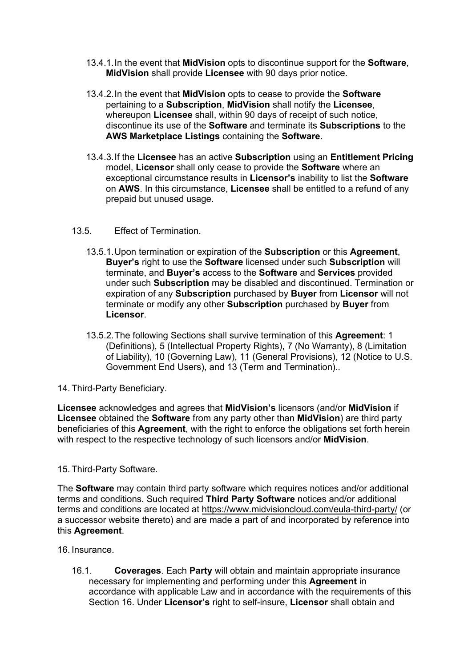- 13.4.1.In the event that **MidVision** opts to discontinue support for the **Software**, **MidVision** shall provide **Licensee** with 90 days prior notice.
- 13.4.2.In the event that **MidVision** opts to cease to provide the **Software** pertaining to a **Subscription**, **MidVision** shall notify the **Licensee**, whereupon **Licensee** shall, within 90 days of receipt of such notice, discontinue its use of the **Software** and terminate its **Subscriptions** to the **AWS Marketplace Listings** containing the **Software**.
- 13.4.3.If the **Licensee** has an active **Subscription** using an **Entitlement Pricing** model, **Licensor** shall only cease to provide the **Software** where an exceptional circumstance results in **Licensor's** inability to list the **Software** on **AWS**. In this circumstance, **Licensee** shall be entitled to a refund of any prepaid but unused usage.

#### 13.5. Effect of Termination.

- 13.5.1.Upon termination or expiration of the **Subscription** or this **Agreement**, **Buyer's** right to use the **Software** licensed under such **Subscription** will terminate, and **Buyer's** access to the **Software** and **Services** provided under such **Subscription** may be disabled and discontinued. Termination or expiration of any **Subscription** purchased by **Buyer** from **Licensor** will not terminate or modify any other **Subscription** purchased by **Buyer** from **Licensor**.
- 13.5.2.The following Sections shall survive termination of this **Agreement**: 1 (Definitions), 5 (Intellectual Property Rights), 7 (No Warranty), 8 (Limitation of Liability), 10 (Governing Law), 11 (General Provisions), 12 (Notice to U.S. Government End Users), and 13 (Term and Termination)..

14. Third-Party Beneficiary.

**Licensee** acknowledges and agrees that **MidVision's** licensors (and/or **MidVision** if **Licensee** obtained the **Software** from any party other than **MidVision**) are third party beneficiaries of this **Agreement**, with the right to enforce the obligations set forth herein with respect to the respective technology of such licensors and/or **MidVision**.

#### 15. Third-Party Software.

The **Software** may contain third party software which requires notices and/or additional terms and conditions. Such required **Third Party Software** notices and/or additional terms and conditions are located at https://www.midvisioncloud.com/eula-third-party/ (or a successor website thereto) and are made a part of and incorporated by reference into this **Agreement**.

16. Insurance.

16.1. **Coverages**. Each **Party** will obtain and maintain appropriate insurance necessary for implementing and performing under this **Agreement** in accordance with applicable Law and in accordance with the requirements of this Section 16. Under **Licensor's** right to self-insure, **Licensor** shall obtain and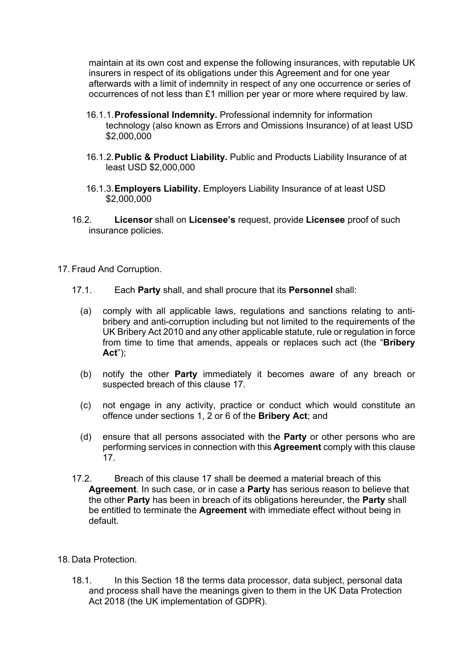maintain at its own cost and expense the following insurances, with reputable UK insurers in respect of its obligations under this Agreement and for one year afterwards with a limit of indemnity in respect of any one occurrence or series of occurrences of not less than £1 million per year or more where required by law.

- 16.1.1.**Professional Indemnity.** Professional indemnity for information technology (also known as Errors and Omissions Insurance) of at least USD \$2,000,000
- 16.1.2.**Public & Product Liability.** Public and Products Liability Insurance of at least USD \$2,000,000
- 16.1.3.**Employers Liability.** Employers Liability Insurance of at least USD \$2,000,000
- 16.2. **Licensor** shall on **Licensee's** request, provide **Licensee** proof of such insurance policies.
- 17. Fraud And Corruption.
	- 17.1. Each **Party** shall, and shall procure that its **Personnel** shall:
		- (a) comply with all applicable laws, regulations and sanctions relating to antibribery and anti-corruption including but not limited to the requirements of the UK Bribery Act 2010 and any other applicable statute, rule or regulation in force from time to time that amends, appeals or replaces such act (the "**Bribery Act**");
		- (b) notify the other **Party** immediately it becomes aware of any breach or suspected breach of this clause 17.
		- (c) not engage in any activity, practice or conduct which would constitute an offence under sections 1, 2 or 6 of the **Bribery Act**; and
		- (d) ensure that all persons associated with the **Party** or other persons who are performing services in connection with this **Agreement** comply with this clause 17.
	- 17.2. Breach of this clause 17 shall be deemed a material breach of this **Agreement**. In such case, or in case a **Party** has serious reason to believe that the other **Party** has been in breach of its obligations hereunder, the **Party** shall be entitled to terminate the **Agreement** with immediate effect without being in default.
- 18. Data Protection.
	- 18.1. In this Section 18 the terms data processor, data subject, personal data and process shall have the meanings given to them in the UK Data Protection Act 2018 (the UK implementation of GDPR).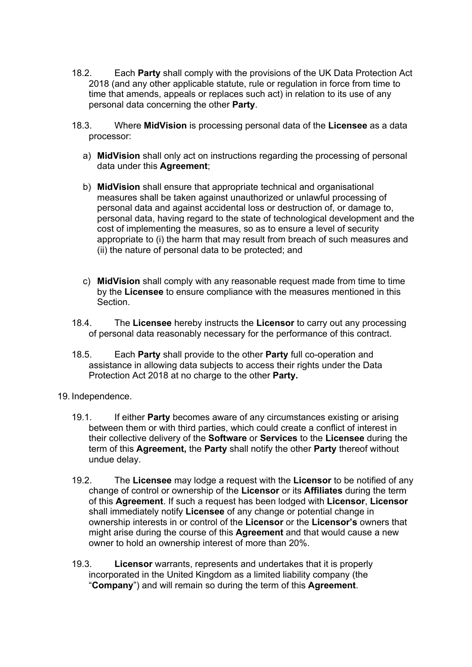- 18.2. Each **Party** shall comply with the provisions of the UK Data Protection Act 2018 (and any other applicable statute, rule or regulation in force from time to time that amends, appeals or replaces such act) in relation to its use of any personal data concerning the other **Party**.
- 18.3. Where **MidVision** is processing personal data of the **Licensee** as a data processor:
	- a) **MidVision** shall only act on instructions regarding the processing of personal data under this **Agreement**;
	- b) **MidVision** shall ensure that appropriate technical and organisational measures shall be taken against unauthorized or unlawful processing of personal data and against accidental loss or destruction of, or damage to, personal data, having regard to the state of technological development and the cost of implementing the measures, so as to ensure a level of security appropriate to (i) the harm that may result from breach of such measures and (ii) the nature of personal data to be protected; and
	- c) **MidVision** shall comply with any reasonable request made from time to time by the **Licensee** to ensure compliance with the measures mentioned in this Section.
- 18.4. The **Licensee** hereby instructs the **Licensor** to carry out any processing of personal data reasonably necessary for the performance of this contract.
- 18.5. Each **Party** shall provide to the other **Party** full co-operation and assistance in allowing data subjects to access their rights under the Data Protection Act 2018 at no charge to the other **Party.**
- 19. Independence.
	- 19.1. If either **Party** becomes aware of any circumstances existing or arising between them or with third parties, which could create a conflict of interest in their collective delivery of the **Software** or **Services** to the **Licensee** during the term of this **Agreement,** the **Party** shall notify the other **Party** thereof without undue delay.
	- 19.2. The **Licensee** may lodge a request with the **Licensor** to be notified of any change of control or ownership of the **Licensor** or its **Affiliates** during the term of this **Agreement**. If such a request has been lodged with **Licensor**, **Licensor** shall immediately notify **Licensee** of any change or potential change in ownership interests in or control of the **Licensor** or the **Licensor's** owners that might arise during the course of this **Agreement** and that would cause a new owner to hold an ownership interest of more than 20%.
	- 19.3. **Licensor** warrants, represents and undertakes that it is properly incorporated in the United Kingdom as a limited liability company (the "**Company**") and will remain so during the term of this **Agreement**.